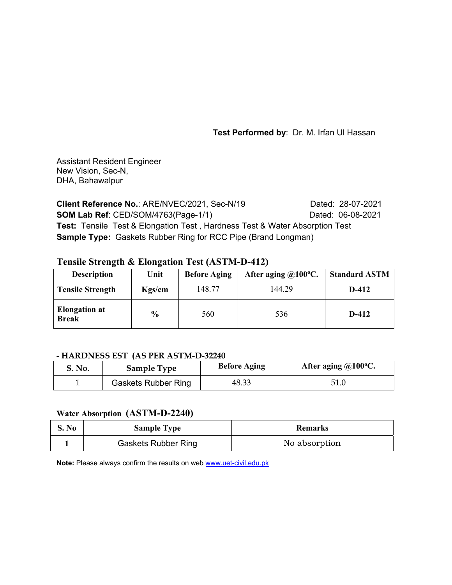**Test Performed by**: Dr. M. Irfan Ul Hassan

Assistant Resident Engineer New Vision, Sec-N, DHA, Bahawalpur

**Client Reference No.: ARE/NVEC/2021, Sec-N/19 Dated: 28-07-2021 SOM Lab Ref**: CED/SOM/4763(Page-1/1) Dated: 06-08-2021 **Test:** Tensile Test & Elongation Test , Hardness Test & Water Absorption Test **Sample Type:** Gaskets Rubber Ring for RCC Pipe (Brand Longman)

# **Tensile Strength & Elongation Test (ASTM-D-412)**

| <b>Description</b>                   | Unit          | <b>Before Aging</b> | After aging $@100°C$ . | <b>Standard ASTM</b> |
|--------------------------------------|---------------|---------------------|------------------------|----------------------|
| <b>Tensile Strength</b>              | Kgs/cm        | 148.77              | 144.29                 | D-412                |
| <b>Elongation at</b><br><b>Break</b> | $\frac{0}{0}$ | 560                 | 536                    | $D-412$              |

# **- HARDNESS EST (AS PER ASTM-D-32240**

| <b>S. No.</b> | <b>Sample Type</b>         | <b>Before Aging</b> | After aging $@100°C$ . |
|---------------|----------------------------|---------------------|------------------------|
|               | <b>Gaskets Rubber Ring</b> | 48.33               | 51.0                   |

## **Water Absorption (ASTM-D-2240)**

| S. No | <b>Sample Type</b>         | <b>Remarks</b> |
|-------|----------------------------|----------------|
|       | <b>Gaskets Rubber Ring</b> | No absorption  |

**Note:** Please always confirm the results on web www.uet-civil.edu.pk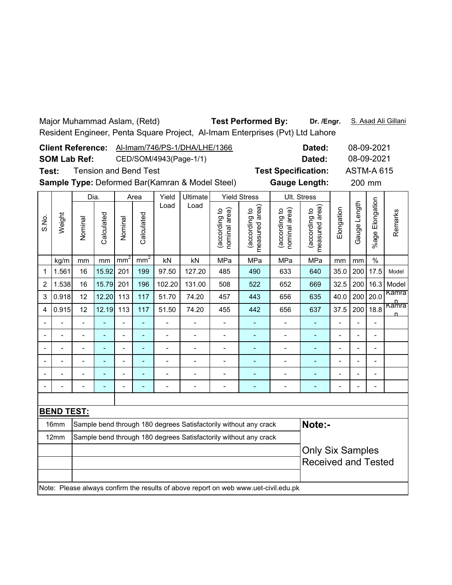|                                                                         | <b>Test Performed By:</b><br>Major Muhammad Aslam, (Retd)<br>Dr. /Engr.<br>S. Asad Ali Gillani<br>Resident Engineer, Penta Square Project, Al-Imam Enterprises (Pvt) Ltd Lahore |                     |                          |                 |                 |                              |                          |                                |                                                                  |                                                                                     |                                             |                          |                |                          |                       |
|-------------------------------------------------------------------------|---------------------------------------------------------------------------------------------------------------------------------------------------------------------------------|---------------------|--------------------------|-----------------|-----------------|------------------------------|--------------------------|--------------------------------|------------------------------------------------------------------|-------------------------------------------------------------------------------------|---------------------------------------------|--------------------------|----------------|--------------------------|-----------------------|
|                                                                         | <b>Client Reference:</b><br>Al-Imam/746/PS-1/DHA/LHE/1366<br>08-09-2021<br>Dated:                                                                                               |                     |                          |                 |                 |                              |                          |                                |                                                                  |                                                                                     |                                             |                          |                |                          |                       |
|                                                                         |                                                                                                                                                                                 |                     |                          |                 |                 |                              |                          |                                |                                                                  |                                                                                     |                                             |                          |                |                          |                       |
|                                                                         |                                                                                                                                                                                 | <b>SOM Lab Ref:</b> |                          |                 |                 |                              | CED/SOM/4943(Page-1/1)   |                                |                                                                  | 08-09-2021<br>Dated:                                                                |                                             |                          |                |                          |                       |
|                                                                         | <b>Tension and Bend Test</b><br><b>Test Specification:</b><br>Test:                                                                                                             |                     |                          |                 |                 |                              |                          |                                |                                                                  |                                                                                     |                                             |                          |                | <b>ASTM-A 615</b>        |                       |
| Sample Type: Deformed Bar(Kamran & Model Steel)<br><b>Gauge Length:</b> |                                                                                                                                                                                 |                     |                          |                 |                 |                              |                          |                                |                                                                  |                                                                                     |                                             |                          | 200 mm         |                          |                       |
|                                                                         |                                                                                                                                                                                 | Dia.                |                          |                 | Area            | Yield                        | <b>Ultimate</b>          |                                | <b>Yield Stress</b>                                              |                                                                                     | Ult. Stress                                 |                          |                |                          |                       |
| S.No.                                                                   | Weight                                                                                                                                                                          | Nominal             | Calculated               | Nominal         | Calculated      | Load                         | Load                     | (according to<br>nominal area) | (according to<br>neasured area)<br>measured                      | nominal area)<br>(according to                                                      | (according to<br>neasured area)<br>measured | Elongation               | Gauge Length   | Elongation<br>%age I     | Remarks               |
|                                                                         | kg/m                                                                                                                                                                            | mm                  | mm                       | mm <sup>2</sup> | mm <sup>2</sup> | kN                           | kN                       | MPa                            | MPa                                                              | MPa                                                                                 | MPa                                         | mm                       | mm             | $\frac{0}{0}$            |                       |
| 1                                                                       | 1.561                                                                                                                                                                           | 16                  | 15.92                    | 201             | 199             | 97.50                        | 127.20                   | 485                            | 490                                                              | 633                                                                                 | 640                                         | 35.0                     | 200            | 17.5                     | Model                 |
| 2                                                                       | 1.538                                                                                                                                                                           | 16                  | 15.79                    | 201             | 196             | 102.20                       | 131.00                   | 508                            | 522                                                              | 652                                                                                 | 669                                         | 32.5                     | 200            | 16.3                     | Model                 |
| 3                                                                       | 0.918                                                                                                                                                                           | 12                  | 12.20                    | 113             | 117             | 51.70                        | 74.20                    | 457                            | 443                                                              | 656                                                                                 | 635                                         | 40.0                     | 200            | 20.0                     | Kamra                 |
| 4                                                                       | 0.915                                                                                                                                                                           | 12                  | 12.19                    | 113             | 117             | 51.50                        | 74.20                    | 455                            | 442                                                              | 656                                                                                 | 637                                         | 37.5                     | 200            | 18.8                     | <del>Kamra</del><br>n |
|                                                                         |                                                                                                                                                                                 | $\overline{a}$      |                          |                 |                 | $\overline{\phantom{0}}$     | $\overline{\phantom{0}}$ |                                |                                                                  | $\overline{\phantom{0}}$                                                            |                                             | $\overline{\phantom{0}}$ |                | $\overline{a}$           |                       |
|                                                                         |                                                                                                                                                                                 |                     |                          | L,              |                 |                              |                          |                                |                                                                  | $\overline{\phantom{0}}$                                                            | L,                                          |                          |                | $\overline{a}$           |                       |
|                                                                         |                                                                                                                                                                                 | $\overline{a}$      |                          |                 | $\blacksquare$  | $\overline{a}$               | $\overline{\phantom{a}}$ |                                |                                                                  | $\overline{\phantom{0}}$                                                            |                                             | $\overline{a}$           |                | $\overline{\phantom{0}}$ |                       |
|                                                                         | $\overline{a}$                                                                                                                                                                  | $\overline{a}$      | L.                       | $\overline{a}$  | L,              | $\overline{a}$               | $\blacksquare$           | $\blacksquare$                 | ÷,                                                               | $\blacksquare$                                                                      | $\blacksquare$                              | $\overline{\phantom{a}}$ | L,             | $\overline{a}$           |                       |
|                                                                         | L.                                                                                                                                                                              | $\overline{a}$      | ۰                        | $\blacksquare$  | $\overline{a}$  | $\qquad \qquad \blacksquare$ | $\blacksquare$           | $\overline{\phantom{a}}$       | ÷,                                                               | $\qquad \qquad \blacksquare$                                                        | ٠                                           | $\blacksquare$           | $\overline{a}$ | $\overline{a}$           |                       |
|                                                                         | $\blacksquare$                                                                                                                                                                  | $\overline{a}$      | $\overline{\phantom{0}}$ | $\blacksquare$  | $\overline{a}$  | $\overline{\phantom{0}}$     | $\overline{\phantom{a}}$ | $\overline{\phantom{m}}$       | $\qquad \qquad \blacksquare$                                     | $\overline{\phantom{m}}$                                                            | ٠                                           | $\blacksquare$           | ÷              | $\overline{\phantom{0}}$ |                       |
|                                                                         |                                                                                                                                                                                 |                     |                          |                 |                 |                              |                          |                                |                                                                  |                                                                                     |                                             |                          |                |                          |                       |
|                                                                         | <b>BEND TEST:</b>                                                                                                                                                               |                     |                          |                 |                 |                              |                          |                                |                                                                  |                                                                                     |                                             |                          |                |                          |                       |
|                                                                         | 16mm                                                                                                                                                                            |                     |                          |                 |                 |                              |                          |                                | Sample bend through 180 degrees Satisfactorily without any crack |                                                                                     | Note:-                                      |                          |                |                          |                       |
|                                                                         | 12mm                                                                                                                                                                            |                     |                          |                 |                 |                              |                          |                                | Sample bend through 180 degrees Satisfactorily without any crack |                                                                                     |                                             |                          |                |                          |                       |
|                                                                         |                                                                                                                                                                                 |                     |                          |                 |                 |                              |                          |                                | <b>Only Six Samples</b><br><b>Received and Tested</b>            |                                                                                     |                                             |                          |                |                          |                       |
|                                                                         |                                                                                                                                                                                 |                     |                          |                 |                 |                              |                          |                                |                                                                  | Note: Please always confirm the results of above report on web www.uet-civil.edu.pk |                                             |                          |                |                          |                       |
|                                                                         |                                                                                                                                                                                 |                     |                          |                 |                 |                              |                          |                                |                                                                  |                                                                                     |                                             |                          |                |                          |                       |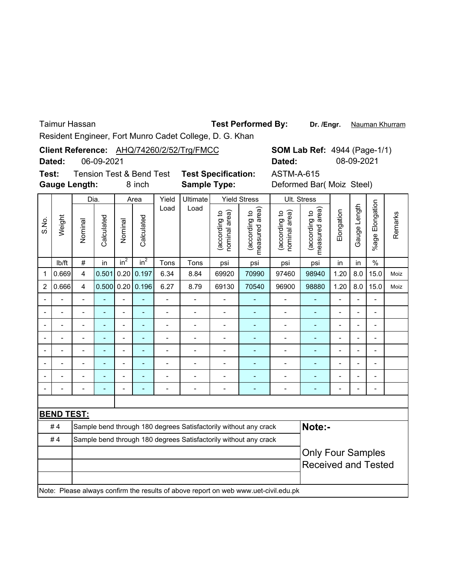Taimur Hassan

Test Performed By: Dr. /Engr. Nauman Khurram

Resident Engineer, Fort Munro Cadet College, D. G. Khan

|                |                   |                          |            |                          |                                     |                          | Client Reference: AHQ/74260/2/52/Trg/FMCC                                           |                                |                                 |                                | <b>SOM Lab Ref: 4944 (Page-1/1)</b> |                           |                          |                          |         |
|----------------|-------------------|--------------------------|------------|--------------------------|-------------------------------------|--------------------------|-------------------------------------------------------------------------------------|--------------------------------|---------------------------------|--------------------------------|-------------------------------------|---------------------------|--------------------------|--------------------------|---------|
|                | Dated:            |                          | 06-09-2021 |                          |                                     |                          |                                                                                     |                                |                                 | Dated:                         |                                     | 08-09-2021                |                          |                          |         |
| Test:          |                   |                          |            |                          | <b>Tension Test &amp; Bend Test</b> |                          | <b>Test Specification:</b>                                                          |                                |                                 | <b>ASTM-A-615</b>              |                                     |                           |                          |                          |         |
|                |                   | <b>Gauge Length:</b>     |            |                          | 8 inch                              |                          | <b>Sample Type:</b>                                                                 |                                |                                 |                                |                                     | Deformed Bar( Moiz Steel) |                          |                          |         |
|                |                   | Dia.                     |            |                          | Area                                | Yield                    | Ultimate                                                                            | <b>Yield Stress</b>            |                                 | Ult. Stress                    |                                     |                           |                          |                          |         |
| S.No.          | Weight            | Nominal                  | Calculated | Nominal                  | Calculated                          | Load                     | Load                                                                                | (according to<br>nominal area) | (according to<br>measured area) | (according to<br>nominal area) | (according to<br>measured area)     | Elongation                | Gauge Length             | %age Elongation          | Remarks |
|                | Ib/ft             | $\#$                     | in         | $in^2$                   | in <sup>2</sup>                     | Tons                     | Tons                                                                                | psi                            | psi                             | psi                            | psi                                 | in                        | in                       | $\frac{0}{0}$            |         |
| $\mathbf{1}$   | 0.669             | $\overline{\mathbf{4}}$  | 0.501      |                          | 0.20   0.197                        | 6.34                     | 8.84                                                                                | 69920                          | 70990                           | 97460                          | 98940                               | 1.20                      | 8.0                      | 15.0                     | Moiz    |
| $\overline{2}$ | 0.666             | $\overline{4}$           |            |                          | $0.500$ 0.20 0.196                  | 6.27                     | 8.79                                                                                | 69130                          | 70540                           | 96900                          | 98880                               | 1.20                      | 8.0                      | 15.0                     | Moiz    |
|                |                   |                          |            | $\overline{a}$           |                                     | $\overline{\phantom{0}}$ | $\frac{1}{2}$                                                                       |                                |                                 | $\overline{a}$                 |                                     | $\overline{\phantom{0}}$  | $\blacksquare$           | $\overline{\phantom{a}}$ |         |
|                |                   | $\overline{\phantom{m}}$ |            | $\overline{\phantom{0}}$ |                                     | -                        | $\overline{a}$                                                                      | $\overline{a}$                 |                                 | $\overline{a}$                 |                                     | $\overline{a}$            | $\overline{\phantom{0}}$ |                          |         |
|                |                   |                          |            |                          |                                     | $\overline{\phantom{0}}$ | $\overline{a}$                                                                      | $\overline{a}$                 | L,                              | $\overline{a}$                 | L,                                  |                           |                          |                          |         |
|                | $\overline{a}$    | $\overline{\phantom{0}}$ |            | $\overline{a}$           |                                     | $\overline{a}$           | $\overline{a}$                                                                      | $\overline{\phantom{0}}$       | ÷,                              | $\overline{a}$                 | Ē,                                  | $\overline{a}$            | $\overline{a}$           | $\overline{\phantom{a}}$ |         |
|                | $\overline{a}$    | $\overline{\phantom{0}}$ |            | $\overline{a}$           | $\blacksquare$                      | $\overline{\phantom{0}}$ | $\overline{a}$                                                                      | $\overline{a}$                 | ÷,                              | $\overline{a}$                 | $\overline{\phantom{a}}$            | $\overline{a}$            | $\overline{\phantom{0}}$ | $\blacksquare$           |         |
|                | $\overline{a}$    |                          |            | $\blacksquare$           |                                     |                          | $\overline{a}$                                                                      | $\overline{a}$                 | ä,                              | $\overline{a}$                 |                                     | $\overline{a}$            | $\overline{a}$           |                          |         |
|                |                   |                          |            |                          |                                     |                          |                                                                                     |                                |                                 | $\overline{a}$                 |                                     |                           |                          |                          |         |
|                | $\overline{a}$    |                          |            |                          |                                     |                          | $\overline{a}$                                                                      | $\overline{a}$                 |                                 | $\overline{a}$                 |                                     |                           | $\overline{a}$           | $\overline{a}$           |         |
|                |                   |                          |            |                          |                                     |                          |                                                                                     |                                |                                 |                                |                                     |                           |                          |                          |         |
|                | <b>BEND TEST:</b> |                          |            |                          |                                     |                          |                                                                                     |                                |                                 |                                |                                     |                           |                          |                          |         |
|                | #4                |                          |            |                          |                                     |                          | Sample bend through 180 degrees Satisfactorily without any crack                    |                                |                                 |                                | Note:-                              |                           |                          |                          |         |
|                | #4                |                          |            |                          |                                     |                          | Sample bend through 180 degrees Satisfactorily without any crack                    |                                |                                 |                                |                                     |                           |                          |                          |         |
|                |                   |                          |            |                          |                                     |                          |                                                                                     |                                |                                 |                                | <b>Only Four Samples</b>            |                           |                          |                          |         |
|                |                   |                          |            |                          |                                     |                          |                                                                                     |                                |                                 |                                | <b>Received and Tested</b>          |                           |                          |                          |         |
|                |                   |                          |            |                          |                                     |                          | Note: Please always confirm the results of above report on web www.uet-civil.edu.pk |                                |                                 |                                |                                     |                           |                          |                          |         |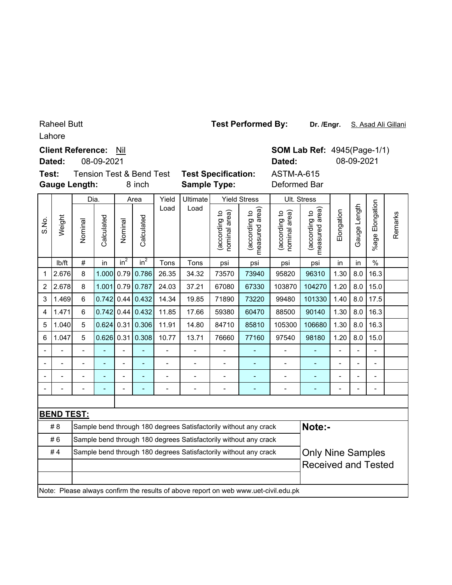#### Raheel Butt

Lahore

### **Client Reference: Nil**

**Dated:** 08-09-2021

**Gauge Length: Test: Tension Test & Bend Test** 

Dia.

**SOM Lab Ref: 4945(Page-1/1) Dated:** 08-09-2021

|               | & Bend Test<br>8 inch |      | <b>Test Specification:</b><br><b>Sample Type:</b> |  | Daleu.<br><b>ASTM-A-615</b><br>Deformed Bar |             |     |  |  |
|---------------|-----------------------|------|---------------------------------------------------|--|---------------------------------------------|-------------|-----|--|--|
| Yield<br>Area |                       |      | <b>Ultimate</b>                                   |  | <b>Yield Stress</b>                         | Ult. Stress |     |  |  |
|               |                       | Load | Load                                              |  | ିକ<br>ଜ                                     | ୍ଟର୍        | ത്സ |  |  |

|                          |                   | υıα.    |            | ы∽ч            |                    |       | omman          | נוטוט טווטס                    |                                                                                     | ບແ. ບແບວວ                      |                                    |                |                |                       |         |
|--------------------------|-------------------|---------|------------|----------------|--------------------|-------|----------------|--------------------------------|-------------------------------------------------------------------------------------|--------------------------------|------------------------------------|----------------|----------------|-----------------------|---------|
| S.No.                    | Weight            | Nominal | Calculated | Nominal        | Calculated         | Load  | Load           | nominal area)<br>(according to | measured area)<br>(according to                                                     | nominal area)<br>(according to | area)<br>(according to<br>measured | Elongation     | Gauge Length   | Elongation<br>$%$ age | Remarks |
|                          | lb/ft             | $\#$    | in         | $in^2$         | $in^2$             | Tons  | Tons           | psi                            | psi                                                                                 | psi                            | psi                                | in             | in             | $\%$                  |         |
| $\mathbf{1}$             | 2.676             | 8       | 1.000      | 0.79           | 0.786              | 26.35 | 34.32          | 73570                          | 73940                                                                               | 95820                          | 96310                              | 1.30           | 8.0            | 16.3                  |         |
| $\overline{2}$           | 2.678             | 8       | 1.001      |                | $0.79$ 0.787       | 24.03 | 37.21          | 67080                          | 67330                                                                               | 103870                         | 104270                             | 1.20           | 8.0            | 15.0                  |         |
| 3                        | 1.469             | 6       | 0.742      |                | $0.44$ 0.432       | 14.34 | 19.85          | 71890                          | 73220                                                                               | 99480                          | 101330                             | 1.40           | 8.0            | 17.5                  |         |
| 4                        | 1.471             | 6       |            |                | $0.742$ 0.44 0.432 | 11.85 | 17.66          | 59380                          | 60470                                                                               | 88500                          | 90140                              | 1.30           | 8.0            | 16.3                  |         |
| 5                        | 1.040             | 5       |            |                | $0.624$ 0.31 0.306 | 11.91 | 14.80          | 84710                          | 85810                                                                               | 105300                         | 106680                             | 1.30           | 8.0            | 16.3                  |         |
| 6                        | 1.047             | 5       |            |                | $0.626$ 0.31 0.308 | 10.77 | 13.71          | 76660                          | 77160                                                                               | 97540                          | 98180                              | 1.20           | 8.0            | 15.0                  |         |
| $\overline{\phantom{a}}$ |                   |         |            |                |                    |       |                |                                |                                                                                     |                                |                                    | L,             | $\blacksquare$ | $\blacksquare$        |         |
| $\blacksquare$           |                   |         |            | $\overline{a}$ |                    |       | $\blacksquare$ |                                | L,                                                                                  | $\blacksquare$                 |                                    | $\blacksquare$ | $\blacksquare$ | $\blacksquare$        |         |
|                          |                   |         |            |                |                    |       |                |                                |                                                                                     |                                |                                    | $\blacksquare$ | $\overline{a}$ |                       |         |
|                          |                   |         |            |                |                    |       |                |                                |                                                                                     | $\qquad \qquad \blacksquare$   |                                    | -              |                |                       |         |
|                          |                   |         |            |                |                    |       |                |                                |                                                                                     |                                |                                    |                |                |                       |         |
|                          | <b>BEND TEST:</b> |         |            |                |                    |       |                |                                |                                                                                     |                                |                                    |                |                |                       |         |
|                          | #8                |         |            |                |                    |       |                |                                | Sample bend through 180 degrees Satisfactorily without any crack                    |                                | Note:-                             |                |                |                       |         |
|                          | #6                |         |            |                |                    |       |                |                                | Sample bend through 180 degrees Satisfactorily without any crack                    |                                |                                    |                |                |                       |         |
|                          | #4                |         |            |                |                    |       |                |                                | Sample bend through 180 degrees Satisfactorily without any crack                    |                                | <b>Only Nine Samples</b>           |                |                |                       |         |
|                          |                   |         |            |                |                    |       |                |                                |                                                                                     |                                | <b>Received and Tested</b>         |                |                |                       |         |
|                          |                   |         |            |                |                    |       |                |                                |                                                                                     |                                |                                    |                |                |                       |         |
|                          |                   |         |            |                |                    |       |                |                                | Note: Please always confirm the results of above report on web www.uet-civil.edu.pk |                                |                                    |                |                |                       |         |
|                          |                   |         |            |                |                    |       |                |                                |                                                                                     |                                |                                    |                |                |                       |         |

**Test Performed By:**

**Dr. /Engr.** S. Asad Ali Gillani

gation